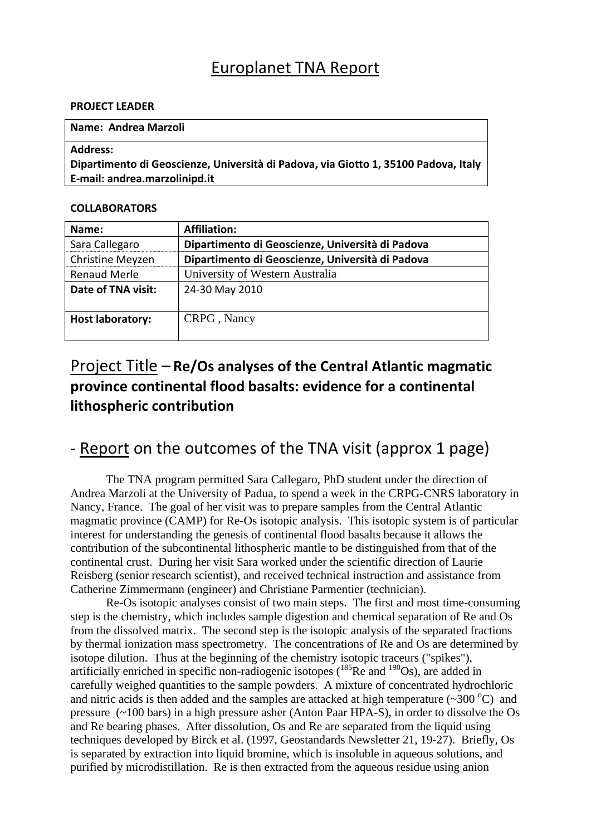### Europlanet TNA Report

#### **PROJECT LEADER**

#### **Name: Andrea Marzoli**

#### **Address:**

**Dipartimento di Geoscienze, Università di Padova, via Giotto 1, 35100 Padova, Italy E‐mail: andrea.marzolinipd.it**

#### **COLLABORATORS**

| Name:                   | <b>Affiliation:</b>                              |
|-------------------------|--------------------------------------------------|
| Sara Callegaro          | Dipartimento di Geoscienze, Università di Padova |
| Christine Meyzen        | Dipartimento di Geoscienze, Università di Padova |
| <b>Renaud Merle</b>     | University of Western Australia                  |
| Date of TNA visit:      | 24-30 May 2010                                   |
|                         |                                                  |
| <b>Host laboratory:</b> | CRPG, Nancy                                      |
|                         |                                                  |

# Project Title – **Re/Os analyses of the Central Atlantic magmatic province continental flood basalts: evidence for a continental lithospheric contribution**

# ‐ Report on the outcomes of the TNA visit (approx 1 page)

 The TNA program permitted Sara Callegaro, PhD student under the direction of Andrea Marzoli at the University of Padua, to spend a week in the CRPG-CNRS laboratory in Nancy, France. The goal of her visit was to prepare samples from the Central Atlantic magmatic province (CAMP) for Re-Os isotopic analysis. This isotopic system is of particular interest for understanding the genesis of continental flood basalts because it allows the contribution of the subcontinental lithospheric mantle to be distinguished from that of the continental crust. During her visit Sara worked under the scientific direction of Laurie Reisberg (senior research scientist), and received technical instruction and assistance from Catherine Zimmermann (engineer) and Christiane Parmentier (technician).

 Re-Os isotopic analyses consist of two main steps. The first and most time-consuming step is the chemistry, which includes sample digestion and chemical separation of Re and Os from the dissolved matrix. The second step is the isotopic analysis of the separated fractions by thermal ionization mass spectrometry. The concentrations of Re and Os are determined by isotope dilution. Thus at the beginning of the chemistry isotopic traceurs ("spikes"), artificially enriched in specific non-radiogenic isotopes  $(185$ Re and  $190$ Os), are added in carefully weighed quantities to the sample powders. A mixture of concentrated hydrochloric and nitric acids is then added and the samples are attacked at high temperature  $(\sim 300 \degree C)$  and pressure (~100 bars) in a high pressure asher (Anton Paar HPA-S), in order to dissolve the Os and Re bearing phases. After dissolution, Os and Re are separated from the liquid using techniques developed by Birck et al. (1997, Geostandards Newsletter 21, 19-27). Briefly, Os is separated by extraction into liquid bromine, which is insoluble in aqueous solutions, and purified by microdistillation. Re is then extracted from the aqueous residue using anion